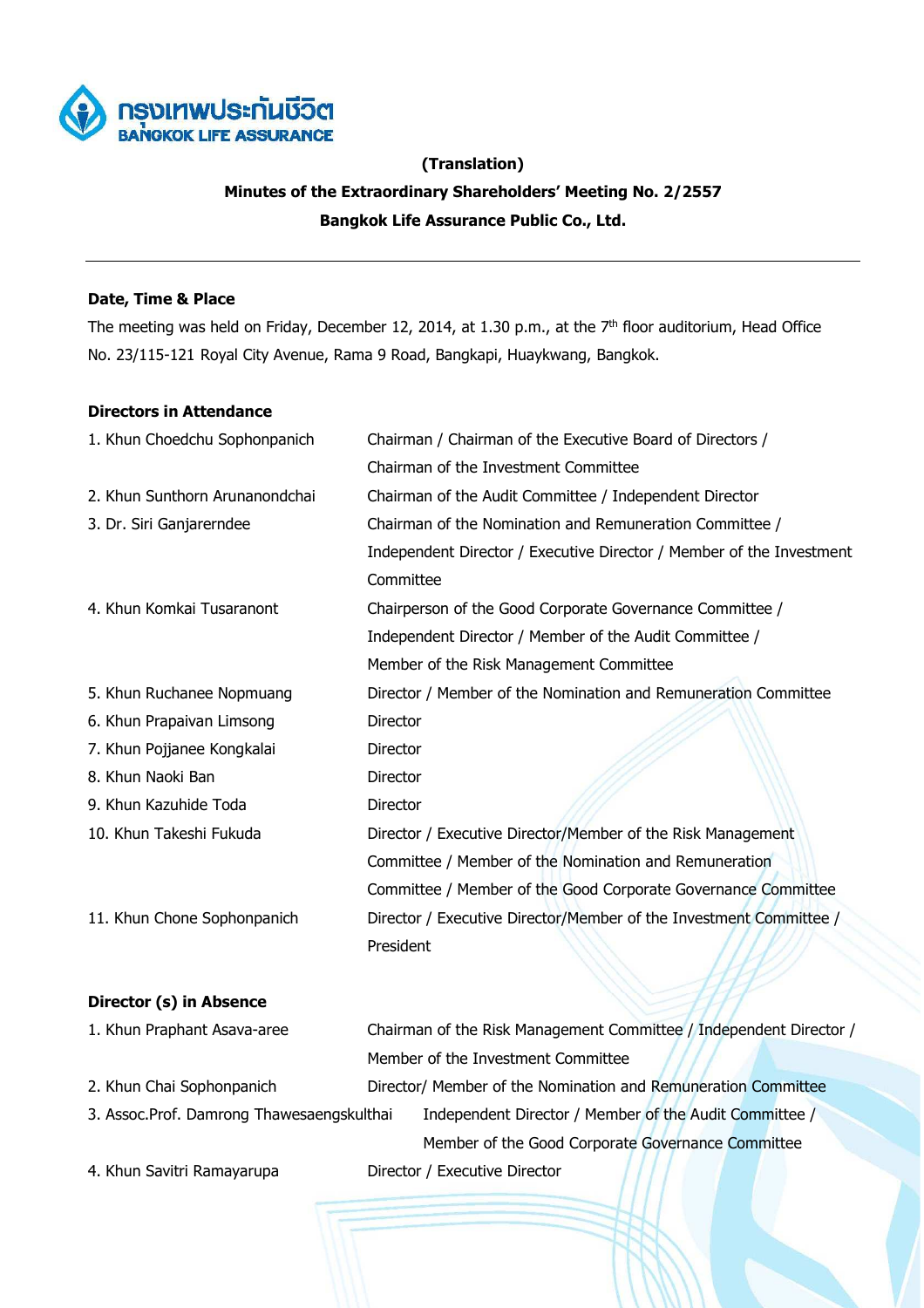

# **(Translation) Minutes of the Extraordinary Shareholders' Meeting No. 2/2557 Bangkok Life Assurance Public Co., Ltd.**

## **Date, Time & Place**

The meeting was held on Friday, December 12, 2014, at 1.30 p.m., at the 7<sup>th</sup> floor auditorium, Head Office No. 23/115-121 Royal City Avenue, Rama 9 Road, Bangkapi, Huaykwang, Bangkok.

## **Directors in Attendance**

| 1. Khun Choedchu Sophonpanich  | Chairman / Chairman of the Executive Board of Directors /            |
|--------------------------------|----------------------------------------------------------------------|
|                                | Chairman of the Investment Committee                                 |
| 2. Khun Sunthorn Arunanondchai | Chairman of the Audit Committee / Independent Director               |
| 3. Dr. Siri Ganjarerndee       | Chairman of the Nomination and Remuneration Committee /              |
|                                | Independent Director / Executive Director / Member of the Investment |
|                                | Committee                                                            |
| 4. Khun Komkai Tusaranont      | Chairperson of the Good Corporate Governance Committee /             |
|                                | Independent Director / Member of the Audit Committee /               |
|                                | Member of the Risk Management Committee                              |
| 5. Khun Ruchanee Nopmuang      | Director / Member of the Nomination and Remuneration Committee       |
| 6. Khun Prapaivan Limsong      | Director                                                             |
| 7. Khun Pojjanee Kongkalai     | Director                                                             |
| 8. Khun Naoki Ban              | Director                                                             |
| 9. Khun Kazuhide Toda          | Director                                                             |
| 10. Khun Takeshi Fukuda        | Director / Executive Director/Member of the Risk Management          |
|                                | Committee / Member of the Nomination and Remuneration                |
|                                | Committee / Member of the Good Corporate Governance Committee        |
| 11. Khun Chone Sophonpanich    | Director / Executive Director/Member of the Investment Committee /   |
|                                | President                                                            |

## **Director (s) in Absence**

| 1. Khun Praphant Asava-aree               | Chairman of the Risk Management Committee / Independent Director / |                                                               |  |
|-------------------------------------------|--------------------------------------------------------------------|---------------------------------------------------------------|--|
|                                           |                                                                    | Member of the Investment Committee                            |  |
| 2. Khun Chai Sophonpanich                 |                                                                    | Director/ Member of the Nomination and Remuneration Committee |  |
| 3. Assoc.Prof. Damrong Thawesaengskulthai |                                                                    | Independent Director / Member of the Audit Committee /        |  |
|                                           |                                                                    | Member of the Good Corporate Governance Committee             |  |
| 4. Khun Savitri Ramayarupa                |                                                                    | Director / Executive Director                                 |  |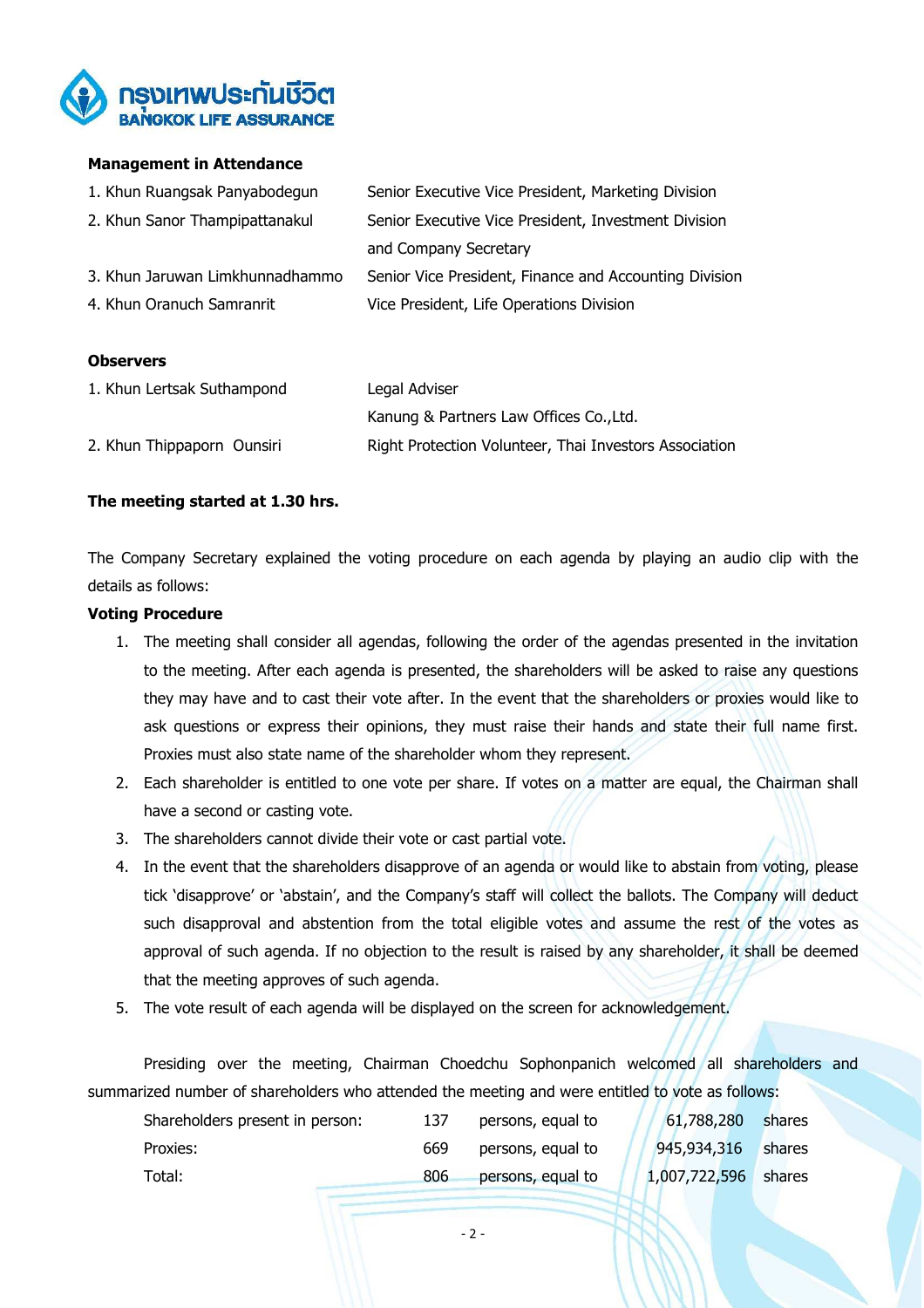

## **Management in Attendance**

| 1. Khun Ruangsak Panyabodegun   | Senior Executive Vice President, Marketing Division    |
|---------------------------------|--------------------------------------------------------|
| 2. Khun Sanor Thampipattanakul  | Senior Executive Vice President, Investment Division   |
|                                 | and Company Secretary                                  |
| 3. Khun Jaruwan Limkhunnadhammo | Senior Vice President, Finance and Accounting Division |
| 4. Khun Oranuch Samranrit       | Vice President, Life Operations Division               |

#### **Observers**

| 1. Khun Lertsak Suthampond | Legal Adviser                                          |  |
|----------------------------|--------------------------------------------------------|--|
|                            | Kanung & Partners Law Offices Co., Ltd.                |  |
| 2. Khun Thippaporn Ounsiri | Right Protection Volunteer, Thai Investors Association |  |

## **The meeting started at 1.30 hrs.**

The Company Secretary explained the voting procedure on each agenda by playing an audio clip with the details as follows:

#### **Voting Procedure**

- 1. The meeting shall consider all agendas, following the order of the agendas presented in the invitation to the meeting. After each agenda is presented, the shareholders will be asked to raise any questions they may have and to cast their vote after. In the event that the shareholders or proxies would like to ask questions or express their opinions, they must raise their hands and state their full name first. Proxies must also state name of the shareholder whom they represent.
- 2. Each shareholder is entitled to one vote per share. If votes on a matter are equal, the Chairman shall have a second or casting vote.
- 3. The shareholders cannot divide their vote or cast partial vote.
- 4. In the event that the shareholders disapprove of an agenda or would like to abstain from voting, please tick 'disapprove' or 'abstain', and the Company's staff will collect the ballots. The Company will deduct such disapproval and abstention from the total eligible votes and assume the rest of the votes as approval of such agenda. If no objection to the result is raised by any shareholder, it shall be deemed that the meeting approves of such agenda.
- 5. The vote result of each agenda will be displayed on the screen for acknowledgement.

Presiding over the meeting, Chairman Choedchu Sophonpanich welcomed all shareholders and summarized number of shareholders who attended the meeting and were entitled to vote as follows:

| Shareholders present in person: | 137 | persons, equal to | 61,788,280    | shares |
|---------------------------------|-----|-------------------|---------------|--------|
| Proxies:                        | 669 | persons, equal to | 945,934,316   | shares |
| Total:                          | 806 | persons, equal to | 1,007,722,596 | shares |

- 2 -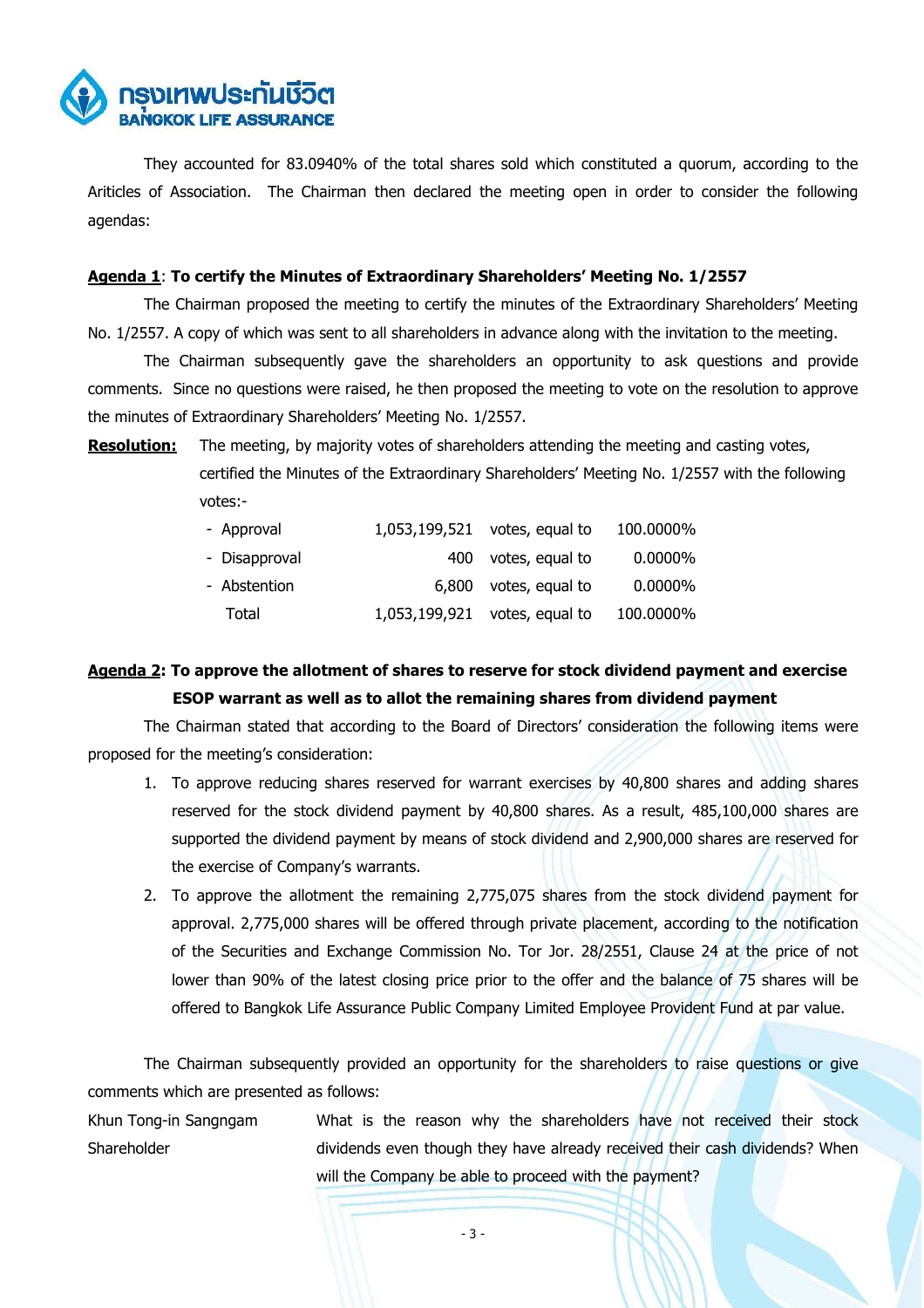

They accounted for 83.0940% of the total shares sold which constituted a quorum, according to the Ariticles of Association. The Chairman then declared the meeting open in order to consider the following agendas:

## **Agenda 1**: **To certify the Minutes of Extraordinary Shareholders' Meeting No. 1/2557**

The Chairman proposed the meeting to certify the minutes of the Extraordinary Shareholders' Meeting No. 1/2557. A copy of which was sent to all shareholders in advance along with the invitation to the meeting.

The Chairman subsequently gave the shareholders an opportunity to ask questions and provide comments. Since no questions were raised, he then proposed the meeting to vote on the resolution to approve the minutes of Extraordinary Shareholders' Meeting No. 1/2557.

**Resolution:** The meeting, by majority votes of shareholders attending the meeting and casting votes, certified the Minutes of the Extraordinary Shareholders' Meeting No. 1/2557 with the following votes:-

| - Approval    |     | 1,053,199,521 votes, equal to | 100.0000%  |
|---------------|-----|-------------------------------|------------|
| - Disapproval | 400 | votes, equal to               | $0.0000\%$ |
| - Abstention  |     | 6,800 votes, equal to         | $0.0000\%$ |
| Total         |     | 1,053,199,921 votes, equal to | 100.0000%  |

## **Agenda 2: To approve the allotment of shares to reserve for stock dividend payment and exercise ESOP warrant as well as to allot the remaining shares from dividend payment**

The Chairman stated that according to the Board of Directors' consideration the following items were proposed for the meeting's consideration:

- 1. To approve reducing shares reserved for warrant exercises by 40,800 shares and adding shares reserved for the stock dividend payment by 40,800 shares. As a result, 485,100,000 shares are supported the dividend payment by means of stock dividend and 2,900,000 shares are reserved for the exercise of Company's warrants.
- 2. To approve the allotment the remaining 2,775,075 shares from the stock dividend payment for approval. 2,775,000 shares will be offered through private placement, according to the notification of the Securities and Exchange Commission No. Tor Jor. 28/2551, Clause 24 at the price of not lower than 90% of the latest closing price prior to the offer and the balance of 75 shares will be offered to Bangkok Life Assurance Public Company Limited Employee Provident Fund at par value.

The Chairman subsequently provided an opportunity for the shareholders to raise questions or give comments which are presented as follows:

Khun Tong-in Sangngam Shareholder What is the reason why the shareholders have not received their stock dividends even though they have already received their cash dividends? When will the Company be able to proceed with the payment?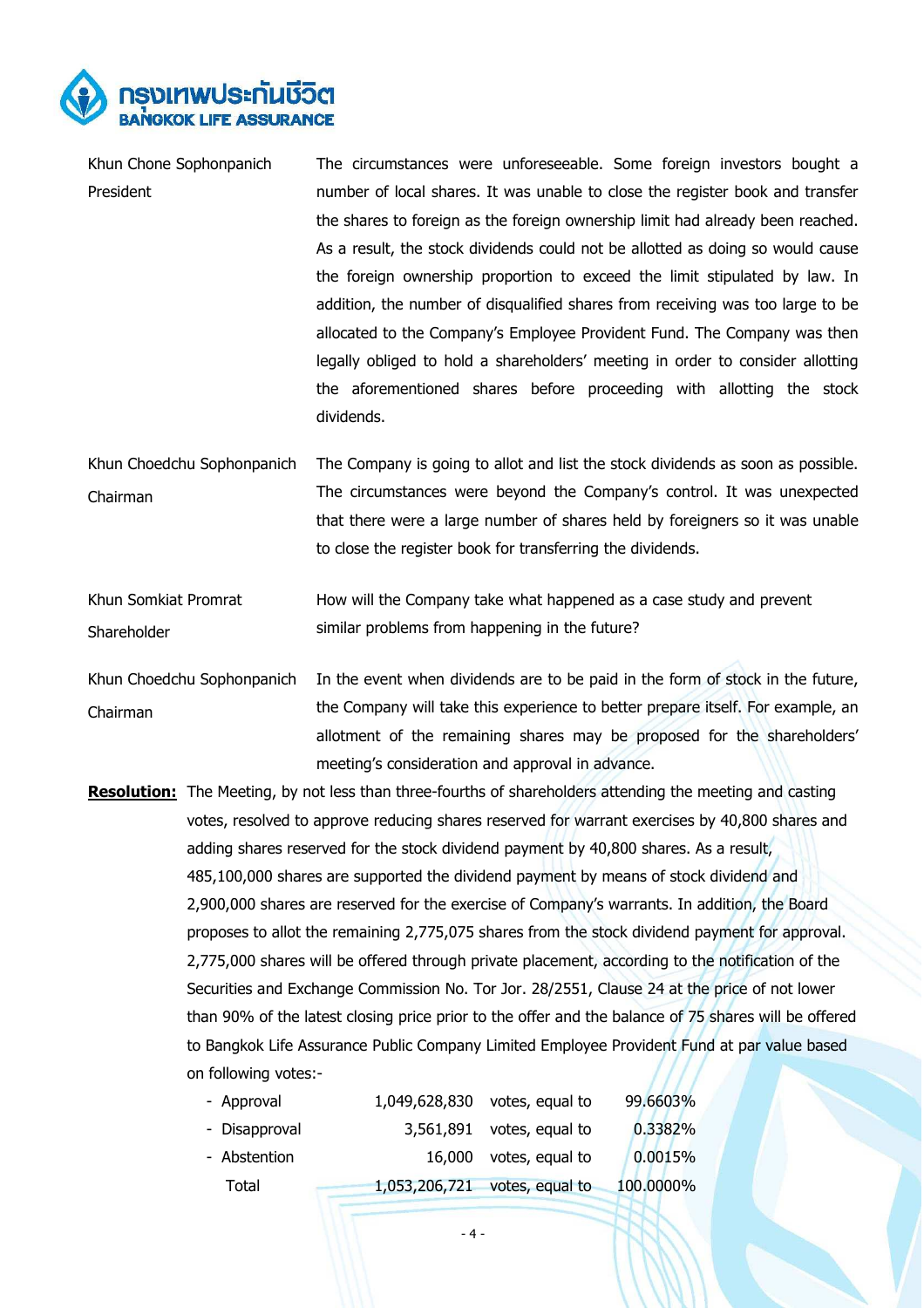

| Khun Chone Sophonpanich    | The circumstances were unforeseeable. Some foreign investors bought a           |  |  |  |
|----------------------------|---------------------------------------------------------------------------------|--|--|--|
| President                  | number of local shares. It was unable to close the register book and transfer   |  |  |  |
|                            | the shares to foreign as the foreign ownership limit had already been reached.  |  |  |  |
|                            | As a result, the stock dividends could not be allotted as doing so would cause  |  |  |  |
|                            | the foreign ownership proportion to exceed the limit stipulated by law. In      |  |  |  |
|                            | addition, the number of disqualified shares from receiving was too large to be  |  |  |  |
|                            | allocated to the Company's Employee Provident Fund. The Company was then        |  |  |  |
|                            | legally obliged to hold a shareholders' meeting in order to consider allotting  |  |  |  |
|                            | the aforementioned shares before proceeding with allotting the stock            |  |  |  |
|                            | dividends.                                                                      |  |  |  |
|                            |                                                                                 |  |  |  |
| Khun Choedchu Sophonpanich | The Company is going to allot and list the stock dividends as soon as possible. |  |  |  |
| Chairman                   | The circumstances were beyond the Company's control. It was unexpected          |  |  |  |
|                            | that there were a large number of shares held by foreigners so it was unable    |  |  |  |
|                            | to close the register book for transferring the dividends.                      |  |  |  |
| Khun Somkiat Promrat       | How will the Company take what happened as a case study and prevent             |  |  |  |
|                            |                                                                                 |  |  |  |
| Shareholder                | similar problems from happening in the future?                                  |  |  |  |
| Khun Choedchu Sophonpanich | In the event when dividends are to be paid in the form of stock in the future,  |  |  |  |
| Chairman                   | the Company will take this experience to better prepare itself. For example, an |  |  |  |
|                            | allotment of the remaining shares may be proposed for the shareholders'         |  |  |  |
|                            | meeting's consideration and approval in advance.                                |  |  |  |

**Resolution:** The Meeting, by not less than three-fourths of shareholders attending the meeting and casting votes, resolved to approve reducing shares reserved for warrant exercises by 40,800 shares and adding shares reserved for the stock dividend payment by 40,800 shares. As a result, 485,100,000 shares are supported the dividend payment by means of stock dividend and 2,900,000 shares are reserved for the exercise of Company's warrants. In addition, the Board proposes to allot the remaining 2,775,075 shares from the stock dividend payment for approval. 2,775,000 shares will be offered through private placement, according to the notification of the Securities and Exchange Commission No. Tor Jor. 28/2551, Clause 24 at the price of not lower than 90% of the latest closing price prior to the offer and the balance of 75 shares will be offered to Bangkok Life Assurance Public Company Limited Employee Provident Fund at par value based on following votes:-

| - Approval    | 1,049,628,830 votes, equal to | 99.6603%  |
|---------------|-------------------------------|-----------|
| - Disapproval | $3,561,891$ votes, equal to   | 0.3382%   |
| - Abstention  | 16,000 votes, equal to        | 0.0015%   |
| Total         | 1,053,206,721 votes, equal to | 100.0000% |